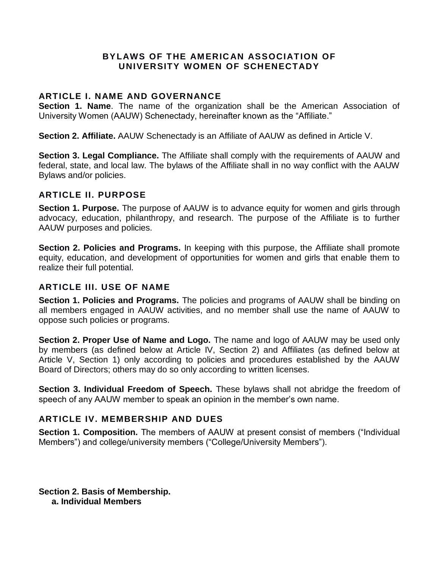### **BYLAWS OF THE AMERICAN ASSOCIATION OF UNIVERSITY WOMEN OF SCHENECTADY**

## **ARTICLE I. NAME AND GOVERNANCE**

**Section 1. Name**. The name of the organization shall be the American Association of University Women (AAUW) Schenectady, hereinafter known as the "Affiliate."

**Section 2. Affiliate.** AAUW Schenectady is an Affiliate of AAUW as defined in Article V.

**Section 3. Legal Compliance.** The Affiliate shall comply with the requirements of AAUW and federal, state, and local law. The bylaws of the Affiliate shall in no way conflict with the AAUW Bylaws and/or policies.

## **ARTICLE II. PURPOSE**

**Section 1. Purpose.** The purpose of AAUW is to advance equity for women and girls through advocacy, education, philanthropy, and research. The purpose of the Affiliate is to further AAUW purposes and policies.

**Section 2. Policies and Programs.** In keeping with this purpose, the Affiliate shall promote equity, education, and development of opportunities for women and girls that enable them to realize their full potential.

### **ARTICLE III. USE OF NAME**

**Section 1. Policies and Programs.** The policies and programs of AAUW shall be binding on all members engaged in AAUW activities, and no member shall use the name of AAUW to oppose such policies or programs.

**Section 2. Proper Use of Name and Logo.** The name and logo of AAUW may be used only by members (as defined below at Article IV, Section 2) and Affiliates (as defined below at Article V, Section 1) only according to policies and procedures established by the AAUW Board of Directors; others may do so only according to written licenses.

**Section 3. Individual Freedom of Speech.** These bylaws shall not abridge the freedom of speech of any AAUW member to speak an opinion in the member's own name.

# **ARTICLE IV. MEMBERSHIP AND DUES**

**Section 1. Composition.** The members of AAUW at present consist of members ("Individual Members") and college/university members ("College/University Members").

**Section 2. Basis of Membership. a. Individual Members**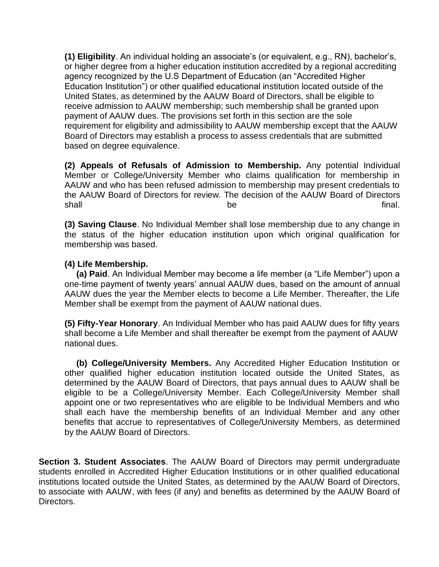**(1) Eligibility**. An individual holding an associate's (or equivalent, e.g., RN), bachelor's, or higher degree from a higher education institution accredited by a regional accrediting agency recognized by the U.S Department of Education (an "Accredited Higher Education Institution") or other qualified educational institution located outside of the United States, as determined by the AAUW Board of Directors, shall be eligible to receive admission to AAUW membership; such membership shall be granted upon payment of AAUW dues. The provisions set forth in this section are the sole requirement for eligibility and admissibility to AAUW membership except that the AAUW Board of Directors may establish a process to assess credentials that are submitted based on degree equivalence.

**(2) Appeals of Refusals of Admission to Membership.** Any potential Individual Member or College/University Member who claims qualification for membership in AAUW and who has been refused admission to membership may present credentials to the AAUW Board of Directors for review. The decision of the AAUW Board of Directors shall in the state of the behall be final.

**(3) Saving Clause**. No Individual Member shall lose membership due to any change in the status of the higher education institution upon which original qualification for membership was based.

## **(4) Life Membership.**

 **(a) Paid**. An Individual Member may become a life member (a "Life Member") upon a one-time payment of twenty years' annual AAUW dues, based on the amount of annual AAUW dues the year the Member elects to become a Life Member. Thereafter, the Life Member shall be exempt from the payment of AAUW national dues.

**(5) Fifty-Year Honorary**. An Individual Member who has paid AAUW dues for fifty years shall become a Life Member and shall thereafter be exempt from the payment of AAUW national dues.

 **(b) College/University Members.** Any Accredited Higher Education Institution or other qualified higher education institution located outside the United States, as determined by the AAUW Board of Directors, that pays annual dues to AAUW shall be eligible to be a College/University Member. Each College/University Member shall appoint one or two representatives who are eligible to be Individual Members and who shall each have the membership benefits of an Individual Member and any other benefits that accrue to representatives of College/University Members, as determined by the AAUW Board of Directors.

**Section 3. Student Associates**. The AAUW Board of Directors may permit undergraduate students enrolled in Accredited Higher Education Institutions or in other qualified educational institutions located outside the United States, as determined by the AAUW Board of Directors, to associate with AAUW, with fees (if any) and benefits as determined by the AAUW Board of Directors.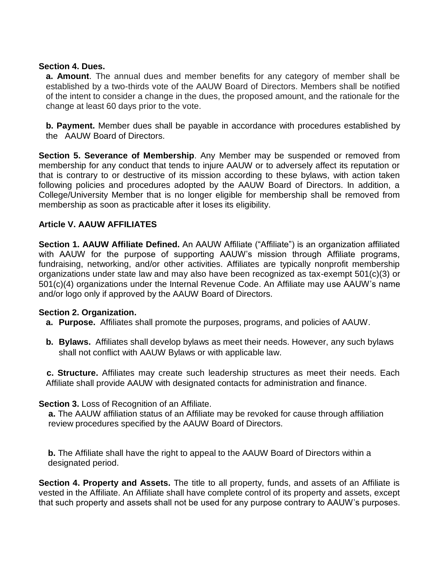### **Section 4. Dues.**

**a. Amount**. The annual dues and member benefits for any category of member shall be established by a two-thirds vote of the AAUW Board of Directors. Members shall be notified of the intent to consider a change in the dues, the proposed amount, and the rationale for the change at least 60 days prior to the vote.

**b. Payment.** Member dues shall be payable in accordance with procedures established by the AAUW Board of Directors.

**Section 5. Severance of Membership**. Any Member may be suspended or removed from membership for any conduct that tends to injure AAUW or to adversely affect its reputation or that is contrary to or destructive of its mission according to these bylaws, with action taken following policies and procedures adopted by the AAUW Board of Directors. In addition, a College/University Member that is no longer eligible for membership shall be removed from membership as soon as practicable after it loses its eligibility.

## **Article V. AAUW AFFILIATES**

**Section 1. AAUW Affiliate Defined.** An AAUW Affiliate ("Affiliate") is an organization affiliated with AAUW for the purpose of supporting AAUW's mission through Affiliate programs, fundraising, networking, and/or other activities. Affiliates are typically nonprofit membership organizations under state law and may also have been recognized as tax-exempt 501(c)(3) or 501(c)(4) organizations under the Internal Revenue Code. An Affiliate may use AAUW's name and/or logo only if approved by the AAUW Board of Directors.

### **Section 2. Organization.**

- **a. Purpose.** Affiliates shall promote the purposes, programs, and policies of AAUW.
- **b. Bylaws.** Affiliates shall develop bylaws as meet their needs. However, any such bylaws shall not conflict with AAUW Bylaws or with applicable law.

**c. Structure.** Affiliates may create such leadership structures as meet their needs. Each Affiliate shall provide AAUW with designated contacts for administration and finance.

### **Section 3.** Loss of Recognition of an Affiliate.

**a.** The AAUW affiliation status of an Affiliate may be revoked for cause through affiliation review procedures specified by the AAUW Board of Directors.

**b.** The Affiliate shall have the right to appeal to the AAUW Board of Directors within a designated period.

**Section 4. Property and Assets.** The title to all property, funds, and assets of an Affiliate is vested in the Affiliate. An Affiliate shall have complete control of its property and assets, except that such property and assets shall not be used for any purpose contrary to AAUW's purposes.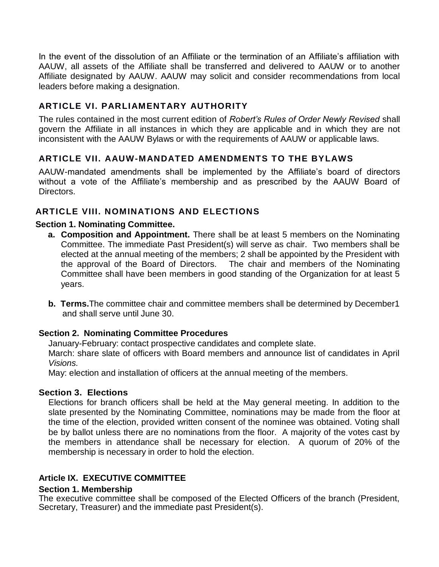In the event of the dissolution of an Affiliate or the termination of an Affiliate's affiliation with AAUW, all assets of the Affiliate shall be transferred and delivered to AAUW or to another Affiliate designated by AAUW. AAUW may solicit and consider recommendations from local leaders before making a designation.

# **ARTICLE VI. PARLIAMENTARY AUTHORITY**

The rules contained in the most current edition of *Robert's Rules of Order Newly Revised* shall govern the Affiliate in all instances in which they are applicable and in which they are not inconsistent with the AAUW Bylaws or with the requirements of AAUW or applicable laws.

# **ARTICLE VII. AAUW-MANDATED AMENDMENTS TO THE BYLAWS**

AAUW-mandated amendments shall be implemented by the Affiliate's board of directors without a vote of the Affiliate's membership and as prescribed by the AAUW Board of Directors.

# **ARTICLE VIII. NOMINATIONS AND ELECTIONS**

## **Section 1. Nominating Committee.**

- **a. Composition and Appointment.** There shall be at least 5 members on the Nominating Committee. The immediate Past President(s) will serve as chair. Two members shall be elected at the annual meeting of the members; 2 shall be appointed by the President with the approval of the Board of Directors. The chair and members of the Nominating Committee shall have been members in good standing of the Organization for at least 5 years.
- **b. Terms.**The committee chair and committee members shall be determined by December1 and shall serve until June 30.

### **Section 2. Nominating Committee Procedures**

January-February: contact prospective candidates and complete slate.

March: share slate of officers with Board members and announce list of candidates in April *Visions.* 

May: election and installation of officers at the annual meeting of the members.

### **Section 3. Elections**

Elections for branch officers shall be held at the May general meeting. In addition to the slate presented by the Nominating Committee, nominations may be made from the floor at the time of the election, provided written consent of the nominee was obtained. Voting shall be by ballot unless there are no nominations from the floor. A majority of the votes cast by the members in attendance shall be necessary for election. A quorum of 20% of the membership is necessary in order to hold the election.

# **Article IX. EXECUTIVE COMMITTEE**

### **Section 1. Membership**

The executive committee shall be composed of the Elected Officers of the branch (President, Secretary, Treasurer) and the immediate past President(s).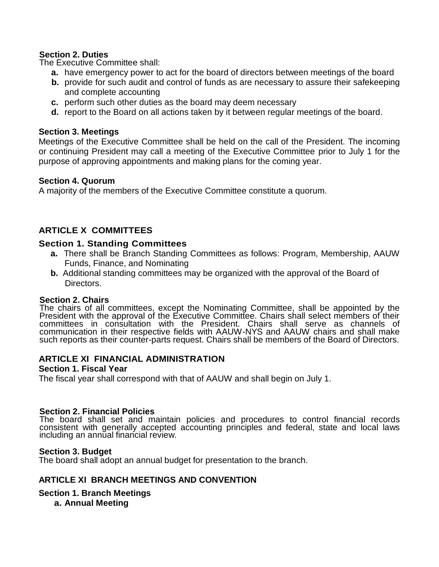### **Section 2. Duties**

The Executive Committee shall:

- **a.** have emergency power to act for the board of directors between meetings of the board
- **b.** provide for such audit and control of funds as are necessary to assure their safekeeping and complete accounting
- **c.** perform such other duties as the board may deem necessary
- **d.** report to the Board on all actions taken by it between regular meetings of the board.

### **Section 3. Meetings**

Meetings of the Executive Committee shall be held on the call of the President. The incoming or continuing President may call a meeting of the Executive Committee prior to July 1 for the purpose of approving appointments and making plans for the coming year.

#### **Section 4. Quorum**

A majority of the members of the Executive Committee constitute a quorum.

## **ARTICLE X COMMITTEES**

#### **Section 1. Standing Committees**

- **a.** There shall be Branch Standing Committees as follows: Program, Membership, AAUW Funds, Finance, and Nominating
- **b.** Additional standing committees may be organized with the approval of the Board of Directors.

#### **Section 2. Chairs**

The chairs of all committees, except the Nominating Committee, shall be appointed by the President with the approval of the Executive Committee. Chairs shall select members of their committees in consultation with the President. Chairs shall serve as channels of communication in their respective fields with AAUW-NYS and AAUW chairs and shall make such reports as their counter-parts request. Chairs shall be members of the Board of Directors.

#### **ARTICLE XI FINANCIAL ADMINISTRATION**

#### **Section 1. Fiscal Year**

The fiscal year shall correspond with that of AAUW and shall begin on July 1.

# **Section 2. Financial Policies**

The board shall set and maintain policies and procedures to control financial records consistent with generally accepted accounting principles and federal, state and local laws including an annual financial review.

#### **Section 3. Budget**

The board shall adopt an annual budget for presentation to the branch.

#### **ARTICLE XI BRANCH MEETINGS AND CONVENTION**

#### **Section 1. Branch Meetings**

 **a. Annual Meeting**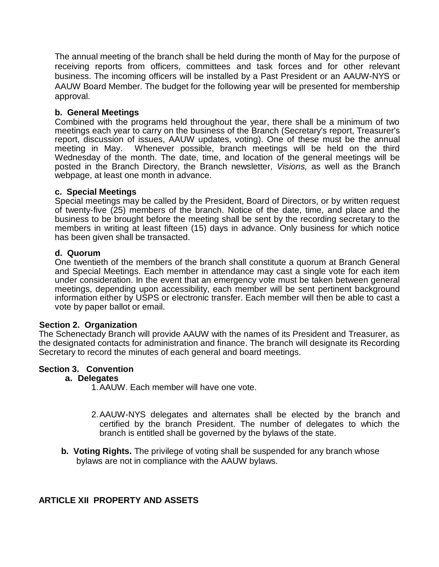The annual meeting of the branch shall be held during the month of May for the purpose of receiving reports from officers, committees and task forces and for other relevant business. The incoming officers will be installed by a Past President or an AAUW-NYS or AAUW Board Member. The budget for the following year will be presented for membership approval.

### **b. General Meetings**

Combined with the programs held throughout the year, there shall be a minimum of two meetings each year to carry on the business of the Branch (Secretary's report, Treasurer's report, discussion of issues, AAUW updates, voting). One of these must be the annual meeting in May. Whenever possible, branch meetings will be held on the third Wednesday of the month. The date, time, and location of the general meetings will be posted in the Branch Directory, the Branch newsletter, *Visions,* as well as the Branch webpage, at least one month in advance.

#### **c. Special Meetings**

Special meetings may be called by the President, Board of Directors, or by written request of twenty-five (25) members of the branch. Notice of the date, time, and place and the business to be brought before the meeting shall be sent by the recording secretary to the members in writing at least fifteen (15) days in advance. Only business for which notice has been given shall be transacted.

#### **d. Quorum**

One twentieth of the members of the branch shall constitute a quorum at Branch General and Special Meetings. Each member in attendance may cast a single vote for each item under consideration. In the event that an emergency vote must be taken between general meetings, depending upon accessibility, each member will be sent pertinent background information either by USPS or electronic transfer. Each member will then be able to cast a vote by paper ballot or email.

#### **Section 2. Organization**

The Schenectady Branch will provide AAUW with the names of its President and Treasurer, as the designated contacts for administration and finance. The branch will designate its Recording Secretary to record the minutes of each general and board meetings.

#### **Section 3. Convention**

#### **a. Delegates**

1.AAUW. Each member will have one vote.

- 2.AAUW-NYS delegates and alternates shall be elected by the branch and certified by the branch President. The number of delegates to which the branch is entitled shall be governed by the bylaws of the state.
- **b. Voting Rights.** The privilege of voting shall be suspended for any branch whose bylaws are not in compliance with the AAUW bylaws.

### **ARTICLE XII PROPERTY AND ASSETS**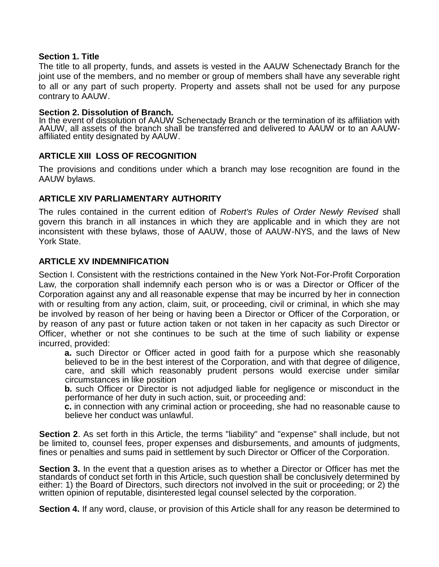### **Section 1. Title**

The title to all property, funds, and assets is vested in the AAUW Schenectady Branch for the joint use of the members, and no member or group of members shall have any severable right to all or any part of such property. Property and assets shall not be used for any purpose contrary to AAUW.

### **Section 2. Dissolution of Branch.**

In the event of dissolution of AAUW Schenectady Branch or the termination of its affiliation with AAUW, all assets of the branch shall be transferred and delivered to AAUW or to an AAUWaffiliated entity designated by AAUW.

### **ARTICLE XIII LOSS OF RECOGNITION**

The provisions and conditions under which a branch may lose recognition are found in the AAUW bylaws.

### **ARTICLE XIV PARLIAMENTARY AUTHORITY**

The rules contained in the current edition of *Robert's Rules of Order Newly Revised* shall govern this branch in all instances in which they are applicable and in which they are not inconsistent with these bylaws, those of AAUW, those of AAUW-NYS, and the laws of New York State.

### **ARTICLE XV INDEMNIFICATION**

Section I. Consistent with the restrictions contained in the New York Not-For-Profit Corporation Law, the corporation shall indemnify each person who is or was a Director or Officer of the Corporation against any and all reasonable expense that may be incurred by her in connection with or resulting from any action, claim, suit, or proceeding, civil or criminal, in which she may be involved by reason of her being or having been a Director or Officer of the Corporation, or by reason of any past or future action taken or not taken in her capacity as such Director or Officer, whether or not she continues to be such at the time of such liability or expense incurred, provided:

**a.** such Director or Officer acted in good faith for a purpose which she reasonably believed to be in the best interest of the Corporation, and with that degree of diligence, care, and skill which reasonably prudent persons would exercise under similar circumstances in like position

**b.** such Officer or Director is not adjudged liable for negligence or misconduct in the performance of her duty in such action, suit, or proceeding and:

**c.** in connection with any criminal action or proceeding, she had no reasonable cause to believe her conduct was unlawful.

**Section 2.** As set forth in this Article, the terms "liability" and "expense" shall include, but not be limited to, counsel fees, proper expenses and disbursements, and amounts of judgments, fines or penalties and sums paid in settlement by such Director or Officer of the Corporation.

**Section 3.** In the event that a question arises as to whether a Director or Officer has met the standards of conduct set forth in this Article, such question shall be conclusively determined by either: 1) the Board of Directors, such directors not involved in the suit or proceeding; or 2) the written opinion of reputable, disinterested legal counsel selected by the corporation.

**Section 4.** If any word, clause, or provision of this Article shall for any reason be determined to